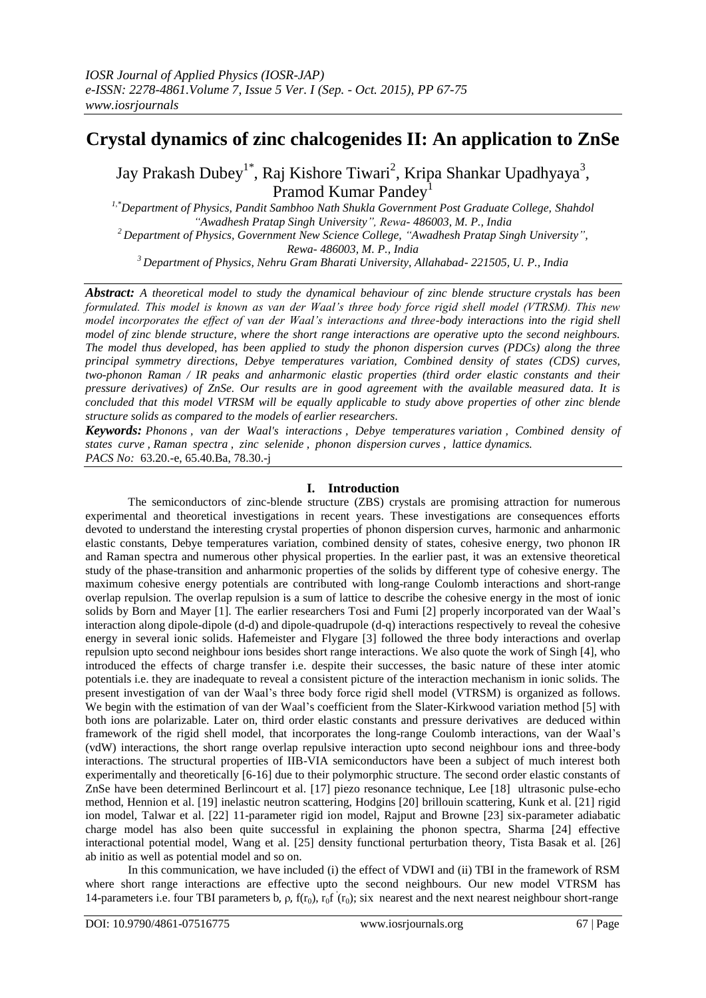# **Crystal dynamics of zinc chalcogenides II: An application to ZnSe**

Jay Prakash Dubey<sup>1\*</sup>, Raj Kishore Tiwari<sup>2</sup>, Kripa Shankar Upadhyaya<sup>3</sup>, Pramod Kumar Pandey<sup>1</sup>

*1,\*Department of Physics, Pandit Sambhoo Nath Shukla Government Post Graduate College, Shahdol "Awadhesh Pratap Singh University", Rewa- 486003, M. P., India <sup>2</sup>Department of Physics, Government New Science College, "Awadhesh Pratap Singh University", Rewa- 486003, M. P., India* 

*<sup>3</sup>Department of Physics, Nehru Gram Bharati University, Allahabad- 221505, U. P., India*

*Abstract: A theoretical model to study the dynamical behaviour of zinc blende structure crystals has been formulated. This model is known as van der Waal's three body force rigid shell model (VTRSM). This new model incorporates the effect of van der Waal's interactions and three-body interactions into the rigid shell model of zinc blende structure, where the short range interactions are operative upto the second neighbours. The model thus developed, has been applied to study the phonon dispersion curves (PDCs) along the three principal symmetry directions, Debye temperatures variation, Combined density of states (CDS) curves, two-phonon Raman / IR peaks and anharmonic elastic properties (third order elastic constants and their pressure derivatives) of ZnSe. Our results are in good agreement with the available measured data. It is concluded that this model VTRSM will be equally applicable to study above properties of other zinc blende structure solids as compared to the models of earlier researchers.*

*Keywords: Phonons , van der Waal's interactions , Debye temperatures variation , Combined density of states curve , Raman spectra , zinc selenide , phonon dispersion curves , lattice dynamics. PACS No:* 63.20.-e, 65.40.Ba, 78.30.-j

# **I. Introduction**

The semiconductors of zinc-blende structure (ZBS) crystals are promising attraction for numerous experimental and theoretical investigations in recent years. These investigations are consequences efforts devoted to understand the interesting crystal properties of phonon dispersion curves, harmonic and anharmonic elastic constants, Debye temperatures variation, combined density of states, cohesive energy, two phonon IR and Raman spectra and numerous other physical properties. In the earlier past, it was an extensive theoretical study of the phase-transition and anharmonic properties of the solids by different type of cohesive energy. The maximum cohesive energy potentials are contributed with long-range Coulomb interactions and short-range overlap repulsion. The overlap repulsion is a sum of lattice to describe the cohesive energy in the most of ionic solids by Born and Mayer [1]. The earlier researchers Tosi and Fumi [2] properly incorporated van der Waal's interaction along dipole-dipole (d-d) and dipole-quadrupole (d-q) interactions respectively to reveal the cohesive energy in several ionic solids. Hafemeister and Flygare [3] followed the three body interactions and overlap repulsion upto second neighbour ions besides short range interactions. We also quote the work of Singh [4], who introduced the effects of charge transfer i.e. despite their successes, the basic nature of these inter atomic potentials i.e. they are inadequate to reveal a consistent picture of the interaction mechanism in ionic solids. The present investigation of van der Waal's three body force rigid shell model (VTRSM) is organized as follows. We begin with the estimation of van der Waal's coefficient from the Slater-Kirkwood variation method [5] with both ions are polarizable. Later on, third order elastic constants and pressure derivatives are deduced within framework of the rigid shell model, that incorporates the long-range Coulomb interactions, van der Waal's (vdW) interactions, the short range overlap repulsive interaction upto second neighbour ions and three-body interactions. The structural properties of IIB-VIA semiconductors have been a subject of much interest both experimentally and theoretically [6-16] due to their polymorphic structure. The second order elastic constants of ZnSe have been determined Berlincourt et al. [17] piezo resonance technique, Lee [18] ultrasonic pulse-echo method, Hennion et al. [19] inelastic neutron scattering, Hodgins [20] brillouin scattering, Kunk et al. [21] rigid ion model, Talwar et al. [22] 11-parameter rigid ion model, Rajput and Browne [23] six-parameter adiabatic charge model has also been quite successful in explaining the phonon spectra, Sharma [24] effective interactional potential model, Wang et al. [25] density functional perturbation theory, Tista Basak et al. [26] ab initio as well as potential model and so on.

In this communication, we have included (i) the effect of VDWI and (ii) TBI in the framework of RSM where short range interactions are effective upto the second neighbours. Our new model VTRSM has 14-parameters i.e. four TBI parameters b,  $\rho$ ,  $f(r_0)$ ,  $r_0f'(r_0)$ ; six nearest and the next nearest neighbour short-range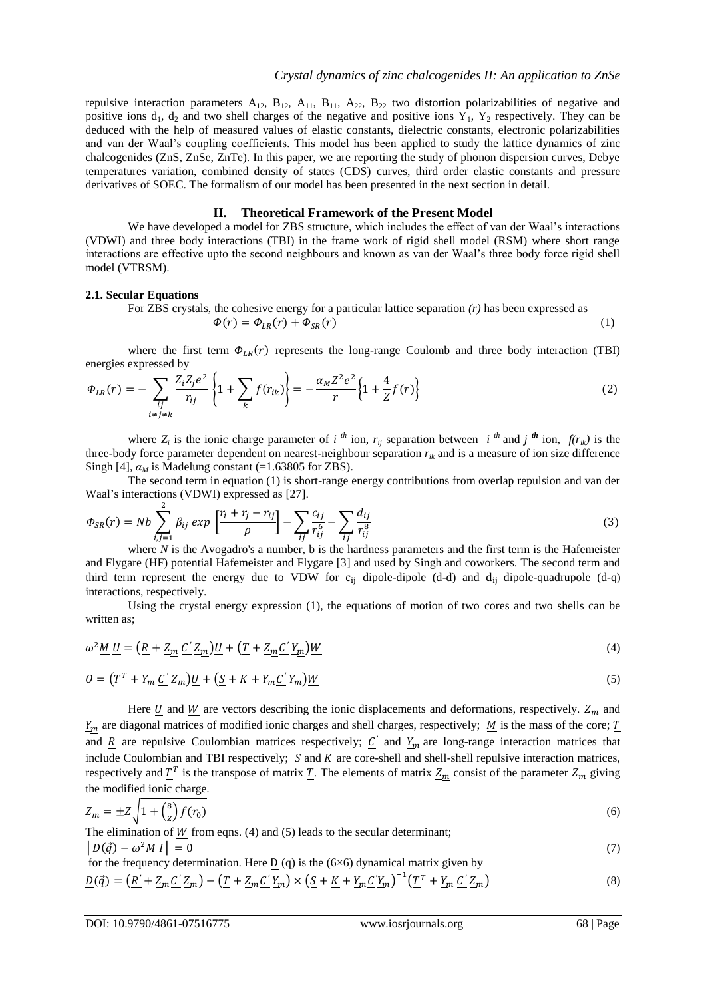repulsive interaction parameters  $A_{12}$ ,  $B_{12}$ ,  $A_{11}$ ,  $B_{11}$ ,  $A_{22}$ ,  $B_{22}$  two distortion polarizabilities of negative and positive ions  $d_1$ ,  $d_2$  and two shell charges of the negative and positive ions  $Y_1$ ,  $Y_2$  respectively. They can be deduced with the help of measured values of elastic constants, dielectric constants, electronic polarizabilities and van der Waal's coupling coefficients. This model has been applied to study the lattice dynamics of zinc chalcogenides (ZnS, ZnSe, ZnTe). In this paper, we are reporting the study of phonon dispersion curves, Debye temperatures variation, combined density of states (CDS) curves, third order elastic constants and pressure derivatives of SOEC. The formalism of our model has been presented in the next section in detail.

# **II. Theoretical Framework of the Present Model**

We have developed a model for ZBS structure, which includes the effect of van der Waal's interactions (VDWI) and three body interactions (TBI) in the frame work of rigid shell model (RSM) where short range interactions are effective upto the second neighbours and known as van der Waal's three body force rigid shell model (VTRSM).

#### **2.1. Secular Equations**

For ZBS crystals, the cohesive energy for a particular lattice separation *(r)* has been expressed as  $\Phi(r) = \Phi_{LR}(r) + \Phi_{SR}(r)$  (1)

where the first term  $\Phi_{LR}(r)$  represents the long-range Coulomb and three body interaction (TBI) energies expressed by

$$
\Phi_{LR}(r) = -\sum_{\substack{ij \ i \neq j \neq k}} \frac{Z_i Z_j e^2}{r_{ij}} \left\{ 1 + \sum_k f(r_{ik}) \right\} = -\frac{\alpha_M Z^2 e^2}{r} \left\{ 1 + \frac{4}{Z} f(r) \right\}
$$
(2)

where  $Z_i$  is the ionic charge parameter of *i*<sup>th</sup> ion,  $r_{ij}$  separation between *i*<sup>th</sup> and *j*<sup>th</sup> ion,  $f(r_{ik})$  is the three-body force parameter dependent on nearest-neighbour separation  $r_{ik}$  and is a measure of ion size difference Singh [4],  $\alpha_M$  is Madelung constant (=1.63805 for ZBS).

The second term in equation (1) is short-range energy contributions from overlap repulsion and van der Waal's interactions (VDWI) expressed as [27].

$$
\Phi_{SR}(r) = Nb \sum_{i,j=1}^{2} \beta_{ij} \exp\left[\frac{r_i + r_j - r_{ij}}{\rho}\right] - \sum_{ij} \frac{c_{ij}}{r_{ij}^6} - \sum_{ij} \frac{d_{ij}}{r_{ij}^8}
$$
(3)

where *N* is the Avogadro's a number, b is the hardness parameters and the first term is the Hafemeister and Flygare (HF) potential Hafemeister and Flygare [3] and used by Singh and coworkers. The second term and third term represent the energy due to VDW for  $c_{ii}$  dipole-dipole (d-d) and  $d_{ii}$  dipole-quadrupole (d-q) interactions, respectively.

Using the crystal energy expression (1), the equations of motion of two cores and two shells can be written as:

$$
\omega^2 \underline{M} \underline{U} = \left( \underline{R} + \underline{Z_m} \underline{C}' \underline{Z_m} \right) \underline{U} + \left( \underline{T} + \underline{Z_m} \underline{C}' \underline{Y_m} \right) \underline{W}
$$
\n(4)

$$
O = \left(\underline{T}^T + \underline{Y_m} \underline{C}' \underline{Z_m}\right) \underline{U} + \left(\underline{S} + \underline{K} + \underline{Y_m} \underline{C}' \underline{Y_m}\right) \underline{W}
$$
\n<sup>(5)</sup>

Here  $\underline{U}$  and  $\underline{W}$  are vectors describing the ionic displacements and deformations, respectively.  $\underline{Z}_m$  and  $\underline{Y_m}$  are diagonal matrices of modified ionic charges and shell charges, respectively; <u>M</u> is the mass of the core; <u>T</u> and  $\underline{R}$  are repulsive Coulombian matrices respectively;  $\underline{C}'$  and  $\underline{Y}_m$  are long-range interaction matrices that include Coulombian and TBI respectively;  $S$  and  $K$  are core-shell and shell-shell repulsive interaction matrices, respectively and  $T^T$  is the transpose of matrix  $T$ . The elements of matrix  $Z_m$  consist of the parameter  $Z_m$  giving the modified ionic charge.

$$
Z_m = \pm Z \sqrt{1 + \left(\frac{8}{z}\right) f(r_0)}\tag{6}
$$

The elimination of  $W$  from eqns. (4) and (5) leads to the secular determinant;  $\left| \underline{D}(\vec{q}) - \omega^2 \underline{M} \underline{I} \right| = 0$  (7)

for the frequency determination. Here  $D(q)$  is the (6×6) dynamical matrix given by −1

$$
\underline{D}(\vec{q}) = \left(\underline{R}' + \underline{Z}_m \underline{C}' \underline{Z}_m\right) - \left(\underline{T} + \underline{Z}_m \underline{C}' \underline{Y}_m\right) \times \left(\underline{S} + \underline{K} + \underline{Y}_m \underline{C}' \underline{Y}_m\right)^{-1} \left(\underline{T}^T + \underline{Y}_m \underline{C}' \underline{Z}_m\right)
$$
(8)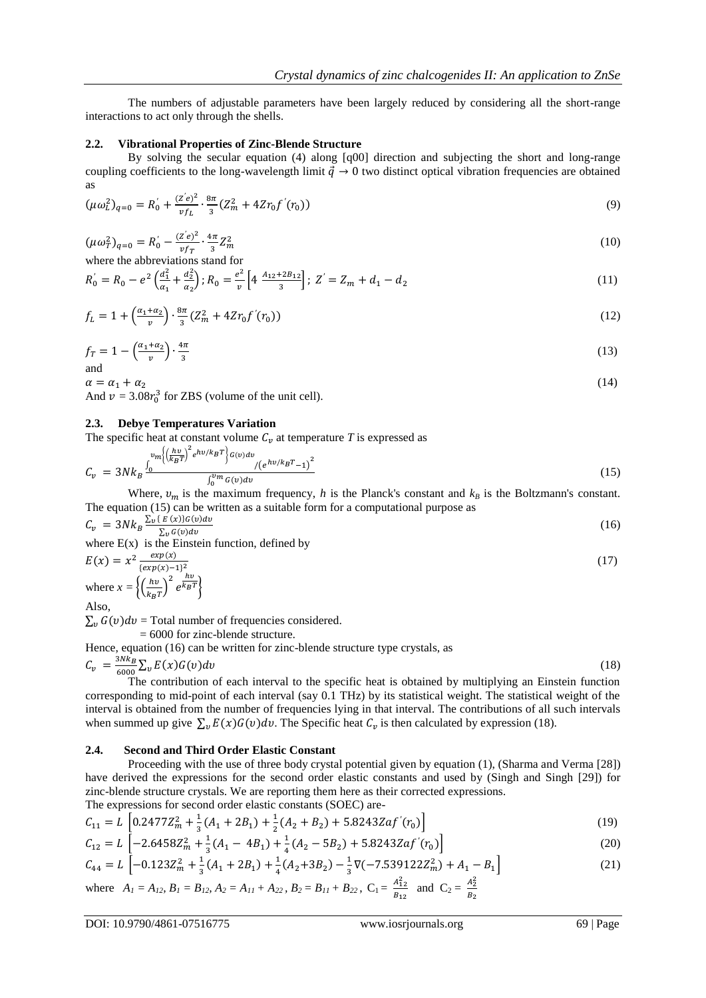The numbers of adjustable parameters have been largely reduced by considering all the short-range interactions to act only through the shells.

#### **2.2. Vibrational Properties of Zinc-Blende Structure**

By solving the secular equation (4) along [q00] direction and subjecting the short and long-range coupling coefficients to the long-wavelength limit  $\vec{q} \to 0$  two distinct optical vibration frequencies are obtained as

$$
(\mu \omega_L^2)_{q=0} = R_0' + \frac{(z'e)^2}{vf_L} \cdot \frac{8\pi}{3} (Z_m^2 + 4Zr_0 f'(r_0))
$$
\n(9)

$$
(\mu \omega_T^2)_{q=0} = R_0' - \frac{(z'e)^2}{\nu f_T} \cdot \frac{4\pi}{3} Z_m^2 \tag{10}
$$

where the abbreviations stand for

$$
R_0 = R_0 - e^2 \left(\frac{d_1^2}{a_1} + \frac{d_2^2}{a_2}\right); R_0 = \frac{e^2}{v} \left[4 \frac{A_{12} + 2B_{12}}{3}\right]; Z' = Z_m + d_1 - d_2
$$
\n(11)

$$
f_L = 1 + \left(\frac{\alpha_1 + \alpha_2}{v}\right) \cdot \frac{8\pi}{3} \left(Z_m^2 + 4Zr_0 f'(r_0)\right) \tag{12}
$$

$$
f_T = 1 - \left(\frac{\alpha_1 + \alpha_2}{v}\right) \cdot \frac{4\pi}{3} \tag{13}
$$

 $\alpha = \alpha_1 + \alpha_2$  $(14)$ And  $v = 3.08r_0^3$  for ZBS (volume of the unit cell).

## **2.3. Debye Temperatures Variation**

The specific heat at constant volume  $C<sub>v</sub>$  at temperature *T* is expressed as

$$
C_v = 3Nk_B \frac{v_m \left( \left( \frac{hv}{k_B T} \right)^2 e^{hv/k_B T} \right) G(v) dv}{\int_0^{v_m} G(v) dv} / (e^{hv/k_B T} - 1)^2}
$$
(15)

Where,  $v_m$  is the maximum frequency, *h* is the Planck's constant and  $k_B$  is the Boltzmann's constant. The equation (15) can be written as a suitable form for a computational purpose as

$$
C_v = 3Nk_B \frac{\sum_{v} \{E(x)\} G(v) dv}{\sum_{v} G(v) dv}
$$
\n(16)

where  $E(x)$  is the Einstein function, defined by

$$
E(x) = x^2 \frac{exp(x)}{\{exp(x)-1\}^2}
$$
  
where  $x = \left\{ \left(\frac{hv}{k_B T}\right)^2 e^{\frac{hv}{k_B T}} \right\}$   
Also,

 $\sum_{v} G(v) dv =$  Total number of frequencies considered.

= 6000 for zinc-blende structure.

Hence, equation (16) can be written for zinc-blende structure type crystals, as

$$
C_v = \frac{3Nk_B}{6000} \sum_{v} E(x) G(v) dv
$$
\n(18)

The contribution of each interval to the specific heat is obtained by multiplying an Einstein function corresponding to mid-point of each interval (say 0.1 THz) by its statistical weight. The statistical weight of the interval is obtained from the number of frequencies lying in that interval. The contributions of all such intervals when summed up give  $\sum_{v} E(x)G(v)dv$ . The Specific heat  $C_v$  is then calculated by expression (18).

## **2.4. Second and Third Order Elastic Constant**

Proceeding with the use of three body crystal potential given by equation (1), (Sharma and Verma [28]) have derived the expressions for the second order elastic constants and used by (Singh and Singh [29]) for zinc-blende structure crystals. We are reporting them here as their corrected expressions. The expressions for second order elastic constants (SOEC) are-

$$
C_{11} = L \left[ 0.2477 Z_m^2 + \frac{1}{3} (A_1 + 2B_1) + \frac{1}{2} (A_2 + B_2) + 5.8243 Z a f'(r_0) \right]
$$
\n
$$
\tag{19}
$$

$$
C_{12} = L \left[ -2.6458Z_m^2 + \frac{1}{3}(A_1 - 4B_1) + \frac{1}{4}(A_2 - 5B_2) + 5.8243Zaf'(r_0) \right]
$$
(20)

$$
C_{44} = L \left[ -0.123Z_m^2 + \frac{1}{3}(A_1 + 2B_1) + \frac{1}{4}(A_2 + 3B_2) - \frac{1}{3}\nabla(-7.539122Z_m^2) + A_1 - B_1 \right]
$$
 (21)

where 
$$
A_1 = A_{12}
$$
,  $B_1 = B_{12}$ ,  $A_2 = A_{11} + A_{22}$ ,  $B_2 = B_{11} + B_{22}$ ,  $C_1 = \frac{A_{12}^2}{B_{12}}$  and  $C_2 = \frac{A_{22}^2}{B_2}$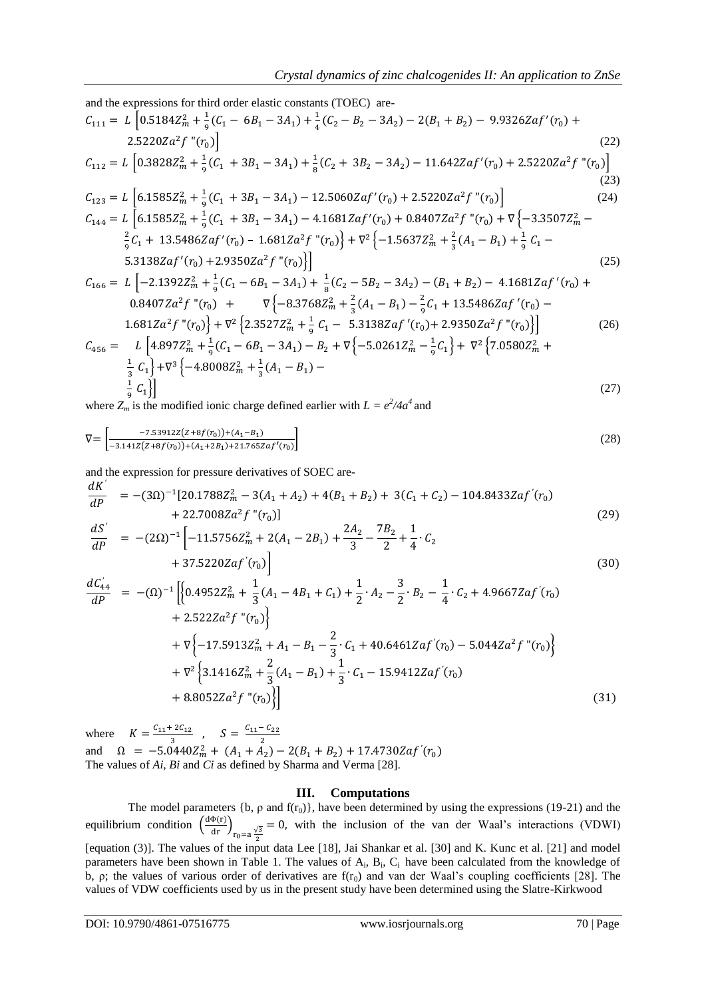and the expressions for third order elastic constants (TOEC) are  
\n
$$
C_{111} = L \left[ 0.5184Z_m^2 + \frac{1}{9}(C_1 - 6B_1 - 3A_1) + \frac{1}{4}(C_2 - B_2 - 3A_2) - 2(B_1 + B_2) - 9.9326Zaf'(r_0) + 2.5220Za^2f''(r_0) \right]
$$
\n(22)  
\n
$$
C_{112} = L \left[ 0.3828Z_m^2 + \frac{1}{9}(C_1 + 3B_1 - 3A_1) + \frac{1}{8}(C_2 + 3B_2 - 3A_2) - 11.642Zaf'(r_0) + 2.5220Za^2f''(r_0) \right]
$$
\n(23)  
\n
$$
C_{123} = L \left[ 6.1585Z_m^2 + \frac{1}{9}(C_1 + 3B_1 - 3A_1) - 12.5060Zaf'(r_0) + 2.5220Za^2f''(r_0) \right]
$$
\n(24)  
\n
$$
C_{144} = L \left[ 6.1585Z_m^2 + \frac{1}{9}(C_1 + 3B_1 - 3A_1) - 4.1681Zaf'(r_0) + 0.8407Za^2f''(r_0) + \nabla \{-3.3507Z_m^2 - \frac{2}{9}C_1 + 13.5486Zaf'(r_0) - 1.681Za^2f''(r_0) \right\} + \nabla^2 \{-1.5637Z_m^2 + \frac{2}{3}(A_1 - B_1) + \frac{1}{9}C_1 - 5.3138Zaf'(r_0) + 2.9350Za^2f''(r_0) \right]
$$
\n(25)  
\n
$$
C_{166} = L \left[ -2.1392Z_m^2 + \frac{1}{9}(C_1 - 6B_1 - 3A_1) + \frac{1}{8}(C_2 - 5B_2 - 3A_2) - (B_1 + B_2) - 4.1681Zaf'(r_0) + 0.8407Za^2f''(r_0) + \nabla \{-8.3768Z_m^2 + \frac{2}{3}(A_1 -
$$

where  $Z_m$  is the modified ionic charge defined earlier with  $L = e^2/4a^4$  and

$$
\nabla = \begin{bmatrix} -7.53912Z(Z + 8f(r_0)) + (A_1 - B_1) \\ -3.141Z(Z + 8f(r_0)) + (A_1 + 2B_1) + 21.765Z \ a f'(r_0) \end{bmatrix} \tag{28}
$$

and the expression for pressure derivatives of SOEC are-

$$
\frac{dK'}{dP} = -(3\Omega)^{-1}[20.1788Z_m^2 - 3(A_1 + A_2) + 4(B_1 + B_2) + 3(C_1 + C_2) - 104.8433Zaf'(r_0) \n+ 22.7008Za^2f''(r_0)]
$$
\n(29)

$$
\frac{dS'}{dP} = -(2\Omega)^{-1} \left[ -11.5756Z_m^2 + 2(A_1 - 2B_1) + \frac{2A_2}{3} - \frac{7B_2}{2} + \frac{1}{4} \cdot C_2 + 37.5220Zaf'(r_0) \right]
$$
\n(30)

$$
\frac{dC_{44}'}{dP} = -(\Omega)^{-1} \Big[ \Big\{ 0.4952Z_m^2 + \frac{1}{3}(A_1 - 4B_1 + C_1) + \frac{1}{2} \cdot A_2 - \frac{3}{2} \cdot B_2 - \frac{1}{4} \cdot C_2 + 4.9667Zaf'(r_0) + 2.522Za^2f''(r_0) \Big\}
$$
  
+  $\nabla \Big\{ -17.5913Z_m^2 + A_1 - B_1 - \frac{2}{3} \cdot C_1 + 40.6461Zaf'(r_0) - 5.044Za^2f''(r_0) \Big\}$   
+  $\nabla^2 \Big\{ 3.1416Z_m^2 + \frac{2}{3}(A_1 - B_1) + \frac{1}{3} \cdot C_1 - 15.9412Zaf'(r_0)$   
+  $8.8052Za^2f''(r_0) \Big\} \Big]$  (31)

where  $K = \frac{C_{11} + 2C_{12}}{2}$  $\frac{-2C_{12}}{3}$ ,  $S = \frac{C_{11} - C_{22}}{2}$ and  $\Omega = -5.0440Z_m^2 + (A_1 + A_2) - 2(B_1 + B_2) + 17.4730Zaf'(r_0)$ The values of *Ai, Bi* and *Ci* as defined by Sharma and Verma [28].

# **III. Computations**

The model parameters  $\{b, \rho \text{ and } f(r_0)\}\$ , have been determined by using the expressions (19-21) and the equilibrium condition  $\left(\frac{d\Phi(r)}{dr}\right)_{r_0=a\frac{\sqrt{3}}{2}}$  $= 0$ , with the inclusion of the van der Waal's interactions (VDWI) [equation (3)]. The values of the input data Lee [18], Jai Shankar et al. [30] and K. Kunc et al. [21] and model parameters have been shown in Table 1. The values of A<sub>i</sub>, B<sub>i</sub>, C<sub>i</sub> have been calculated from the knowledge of b,  $\rho$ ; the values of various order of derivatives are  $f(r_0)$  and van der Waal's coupling coefficients [28]. The values of VDW coefficients used by us in the present study have been determined using the Slatre-Kirkwood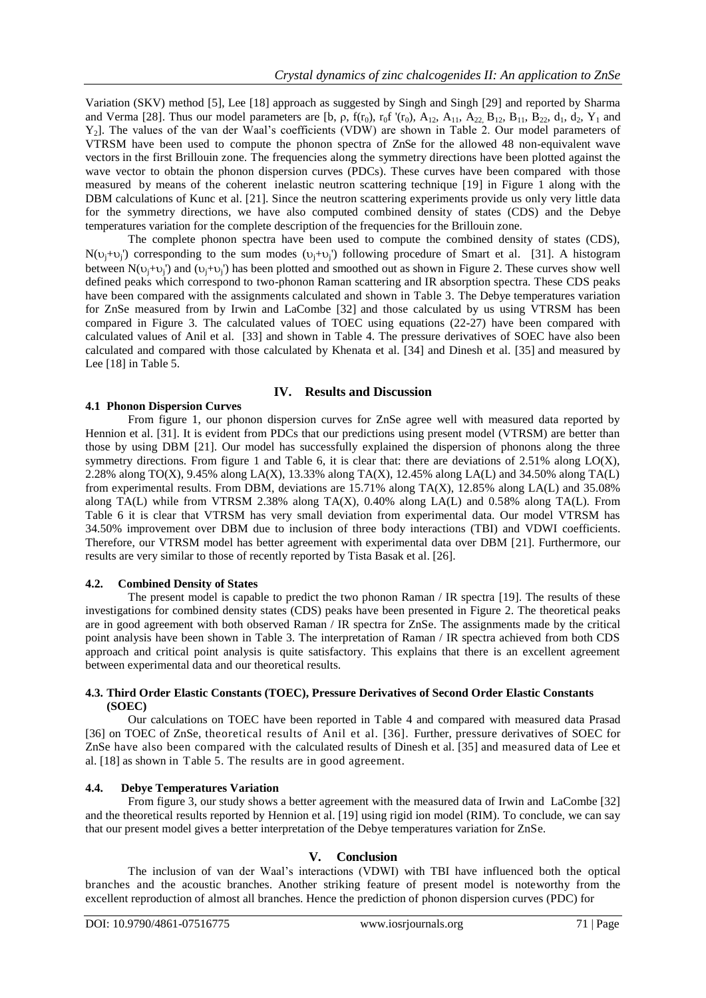Variation (SKV) method [5], Lee [18] approach as suggested by Singh and Singh [29] and reported by Sharma and Verma [28]. Thus our model parameters are [b,  $\rho$ ,  $f(r_0)$ ,  $r_0f'(r_0)$ ,  $A_{12}$ ,  $A_{11}$ ,  $A_{22}$ ,  $B_{12}$ ,  $B_{11}$ ,  $B_{22}$ ,  $d_1$ ,  $d_2$ ,  $Y_1$  and Y2]. The values of the van der Waal's coefficients (VDW) are shown in Table 2. Our model parameters of VTRSM have been used to compute the phonon spectra of ZnSe for the allowed 48 non-equivalent wave vectors in the first Brillouin zone. The frequencies along the symmetry directions have been plotted against the wave vector to obtain the phonon dispersion curves (PDCs). These curves have been compared with those measured by means of the coherent inelastic neutron scattering technique [19] in Figure 1 along with the DBM calculations of Kunc et al. [21]. Since the neutron scattering experiments provide us only very little data for the symmetry directions, we have also computed combined density of states (CDS) and the Debye temperatures variation for the complete description of the frequencies for the Brillouin zone.

The complete phonon spectra have been used to compute the combined density of states (CDS),  $N(\nu_j+\nu_j)$  corresponding to the sum modes  $(\nu_j+\nu_j)$  following procedure of Smart et al. [31]. A histogram between  $N(v_j+v_j)$  and  $(v_j+v_j)$  has been plotted and smoothed out as shown in Figure 2. These curves show well defined peaks which correspond to two-phonon Raman scattering and IR absorption spectra. These CDS peaks have been compared with the assignments calculated and shown in Table 3. The Debye temperatures variation for ZnSe measured from by Irwin and LaCombe [32] and those calculated by us using VTRSM has been compared in Figure 3. The calculated values of TOEC using equations (22-27) have been compared with calculated values of Anil et al. [33] and shown in Table 4. The pressure derivatives of SOEC have also been calculated and compared with those calculated by Khenata et al. [34] and Dinesh et al. [35] and measured by Lee [18] in Table 5.

#### **IV. Results and Discussion**

#### **4.1 Phonon Dispersion Curves**

From figure 1, our phonon dispersion curves for ZnSe agree well with measured data reported by Hennion et al. [31]. It is evident from PDCs that our predictions using present model (VTRSM) are better than those by using DBM [21]. Our model has successfully explained the dispersion of phonons along the three symmetry directions. From figure 1 and Table 6, it is clear that: there are deviations of 2.51% along LO(X), 2.28% along TO(X), 9.45% along LA(X), 13.33% along TA(X), 12.45% along LA(L) and 34.50% along TA(L) from experimental results. From DBM, deviations are 15.71% along TA(X), 12.85% along LA(L) and 35.08% along TA(L) while from VTRSM 2.38% along TA(X), 0.40% along LA(L) and 0.58% along TA(L). From Table 6 it is clear that VTRSM has very small deviation from experimental data. Our model VTRSM has 34.50% improvement over DBM due to inclusion of three body interactions (TBI) and VDWI coefficients. Therefore, our VTRSM model has better agreement with experimental data over DBM [21]. Furthermore, our results are very similar to those of recently reported by Tista Basak et al. [26].

# **4.2. Combined Density of States**

The present model is capable to predict the two phonon Raman / IR spectra [19]. The results of these investigations for combined density states (CDS) peaks have been presented in Figure 2. The theoretical peaks are in good agreement with both observed Raman / IR spectra for ZnSe. The assignments made by the critical point analysis have been shown in Table 3. The interpretation of Raman / IR spectra achieved from both CDS approach and critical point analysis is quite satisfactory. This explains that there is an excellent agreement between experimental data and our theoretical results.

#### **4.3. Third Order Elastic Constants (TOEC), Pressure Derivatives of Second Order Elastic Constants (SOEC)**

Our calculations on TOEC have been reported in Table 4 and compared with measured data Prasad [36] on TOEC of ZnSe, theoretical results of Anil et al. [36]. Further, pressure derivatives of SOEC for ZnSe have also been compared with the calculated results of Dinesh et al. [35] and measured data of Lee et al. [18] as shown in Table 5. The results are in good agreement.

#### **4.4. Debye Temperatures Variation**

From figure 3, our study shows a better agreement with the measured data of Irwin and LaCombe [32] and the theoretical results reported by Hennion et al. [19] using rigid ion model (RIM). To conclude, we can say that our present model gives a better interpretation of the Debye temperatures variation for ZnSe.

# **V. Conclusion**

The inclusion of van der Waal's interactions (VDWI) with TBI have influenced both the optical branches and the acoustic branches. Another striking feature of present model is noteworthy from the excellent reproduction of almost all branches. Hence the prediction of phonon dispersion curves (PDC) for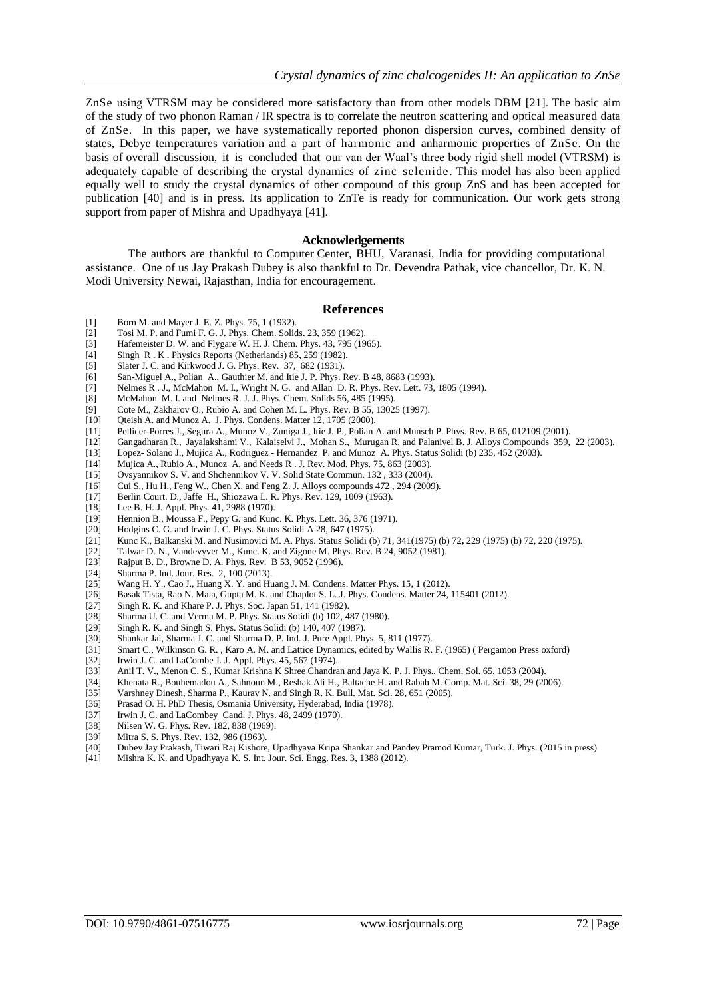ZnSe using VTRSM may be considered more satisfactory than from other models DBM [21]. The basic aim of the study of two phonon Raman / IR spectra is to correlate the neutron scattering and optical measured data of ZnSe. In this paper, we have systematically reported phonon dispersion curves, combined density of states, Debye temperatures variation and a part of harmonic and anharmonic properties of ZnSe. On the basis of overall discussion, it is concluded that our van der Waal's three body rigid shell model (VTRSM) is adequately capable of describing the crystal dynamics of zinc selenide. This model has also been applied equally well to study the crystal dynamics of other compound of this group ZnS and has been accepted for publication [40] and is in press. Its application to ZnTe is ready for communication. Our work gets strong support from paper of Mishra and Upadhyaya [41].

#### **Acknowledgements**

The authors are thankful to Computer Center, BHU, Varanasi, India for providing computational assistance. One of us Jay Prakash Dubey is also thankful to Dr. Devendra Pathak, vice chancellor, Dr. K. N. Modi University Newai, Rajasthan, India for encouragement.

#### **References**

- [1] Born M. and Mayer J. E. Z. Phys. 75, 1 (1932).<br>[2] Tosi M. P. and Fumi F. G. J. Phys. Chem. Solid
- [2] Tosi M. P. and Fumi F. G. J. Phys. Chem. Solids. 23, 359 (1962).
- [3] Hafemeister D. W. and Flygare W. H. J. Chem. Phys. 43, 795 (1965).
- [4] Singh R . K . Physics Reports (Netherlands) 85, 259 (1982).
- [5] Slater J. C. and Kirkwood J. G. Phys. Rev. 37, 682 (1931).
- [6] San-Miguel A., Polian A., Gauthier M. and Itie J. P. Phys. Rev. B 48, 8683 (1993).
- [7] Nelmes R . J., McMahon M. I., Wright N. G. and Allan D. R. Phys. Rev. Lett. 73, 1805 (1994).<br>[8] McMahon M. I. and Nelmes R. J. J. Phys. Chem. Solids 56, 485 (1995).
- [8] McMahon M. I. and Nelmes R. J. J. Phys. Chem. Solids 56, 485 (1995).<br>[9] Cote M., Zakharov O., Rubio A. and Cohen M. L. Phys. Rev. B 55, 1302
- [9] Cote M., Zakharov O., Rubio A. and Cohen M. L. Phys. Rev. B 55, 13025 (1997).<br>[10] Qteish A. and Munoz A. J. Phys. Condens. Matter 12, 1705 (2000).
- Qteish A. and Munoz A. J. Phys. Condens. Matter 12, 1705 (2000).
- [11] Pellicer-Porres J., Segura A., Munoz V., Zuniga J., Itie J. P., Polian A. and Munsch P. Phys. Rev. B 65, 012109 (2001).
- [12] Gangadharan R., Jayalakshami V., Kalaiselvi J., Mohan S., Murugan R. and Palanivel B. J. Alloys Compounds 359, 22 (2003).
- Lopez- Solano J., Mujica A., Rodriguez Hernandez P. and Munoz A. Phys. Status Solidi (b) 235, 452 (2003).
- [14] Mujica A., Rubio A., Munoz A. and Needs R . J. Rev. Mod. Phys. 75, 863 (2003).
- [15] Ovsyannikov S. V. and Shchennikov V. V. Solid State Commun. 132 , 333 (2004).
- Cui S., Hu H., Feng W., Chen X. and Feng Z. J. Alloys compounds  $472$ ,  $294$  ( $2009$ ).
- [17] Berlin Court. D., Jaffe H., Shiozawa L. R. Phys. Rev. 129, 1009 (1963).
- [18] Lee B. H. J. Appl. Phys. 41, 2988 (1970).<br>[19] Hennion B., Moussa F., Pepy G. and Kun
- [19] Hennion B., Moussa F., Pepy G. and Kunc. K. Phys. Lett. 36, 376 (1971).<br>[20] Hodgins C. G. and Irwin J. C. Phys. Status Solidi A 28, 647 (1975).
- Hodgins C. G. and Irwin J. C. Phys. Status Solidi A 28, 647 (1975).
- [21] Kunc K., Balkanski M. and Nusimovici M. A. Phys. Status Solidi (b) 71, 341(1975) (b) 72**,** 229 (1975) (b) 72, 220 (1975).
- [22] Talwar D. N., Vandevyver M., Kunc. K. and Zigone M. Phys. Rev. B 24, 9052 (1981).<br>[23] Rajput B. D., Browne D. A. Phys. Rev. B 53, 9052 (1996).
- Rajput B. D., Browne D. A. Phys. Rev. B 53, 9052 (1996).
- [24] Sharma P. Ind. Jour. Res. 2, 100 (2013).
- [25] Wang H. Y., Cao J., Huang X. Y. and Huang J. M. Condens. Matter Phys. 15, 1 (2012).
- [26] Basak Tista, Rao N. Mala, Gupta M. K. and Chaplot S. L. J. Phys. Condens. Matter 24, 115401 (2012).
- Singh R. K. and Khare P. J. Phys. Soc. Japan  $51, 141$  (1982).
- [28] Sharma U. C. and Verma M. P. Phys. Status Solidi (b) 102, 487 (1980).
- [29] Singh R. K. and Singh S. Phys. Status Solidi (b) 140, 407 (1987).
- [30] Shankar Jai, Sharma J. C. and Sharma D. P. Ind. J. Pure Appl. Phys. 5, 811 (1977).
- [31] Smart C., Wilkinson G. R. , Karo A. M. and Lattice Dynamics, edited by Wallis R. F. (1965) ( Pergamon Press oxford)
- [32] Irwin J. C. and LaCombe J. J. Appl. Phys. 45, 567 (1974).
- [33] Anil T. V., Menon C. S., Kumar Krishna K Shree Chandran and Jaya K. P. J. Phys., Chem. Sol. 65, 1053 (2004).
- [34] Khenata R., Bouhemadou A., Sahnoun M., Reshak Ali H., Baltache H. and Rabah M. Comp. Mat. Sci. 38, 29 (2006).
- Varshney Dinesh, Sharma P., Kaurav N. and Singh R. K. Bull. Mat. Sci. 28, 651 (2005).
- [36] Prasad O. H. PhD Thesis, Osmania University, Hyderabad, India (1978).
- 
- [37] Irwin J. C. and LaCombey Cand. J. Phys. 48, 2499 (1970).<br>[38] Nilsen W. G. Phys. Rev. 182, 838 (1969). Nilsen W. G. Phys. Rev. 182, 838 (1969).
- [39] Mitra S. S. Phys. Rev. 132, 986 (1963).
- [40] Dubey Jay Prakash, Tiwari Raj Kishore, Upadhyaya Kripa Shankar and Pandey Pramod Kumar, Turk. J. Phys. (2015 in press)
- Mishra K. K. and Upadhyaya K. S. Int. Jour. Sci. Engg. Res. 3, 1388 (2012).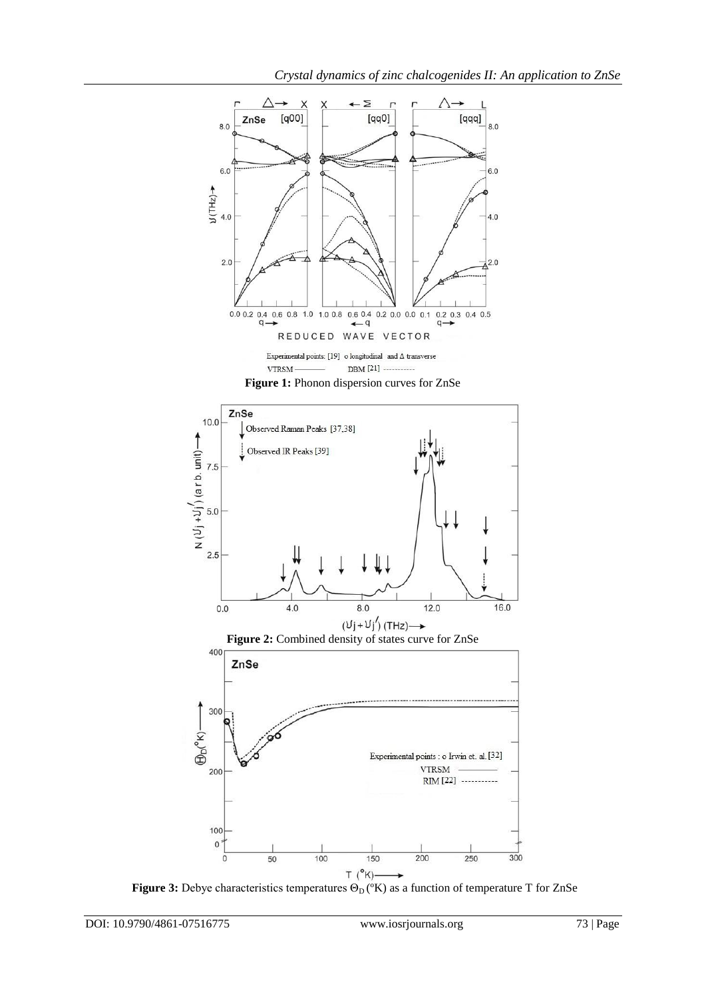





**Figure 3:** Debye characteristics temperatures  $\Theta_D$  ( $\kappa$ ) as a function of temperature T for ZnSe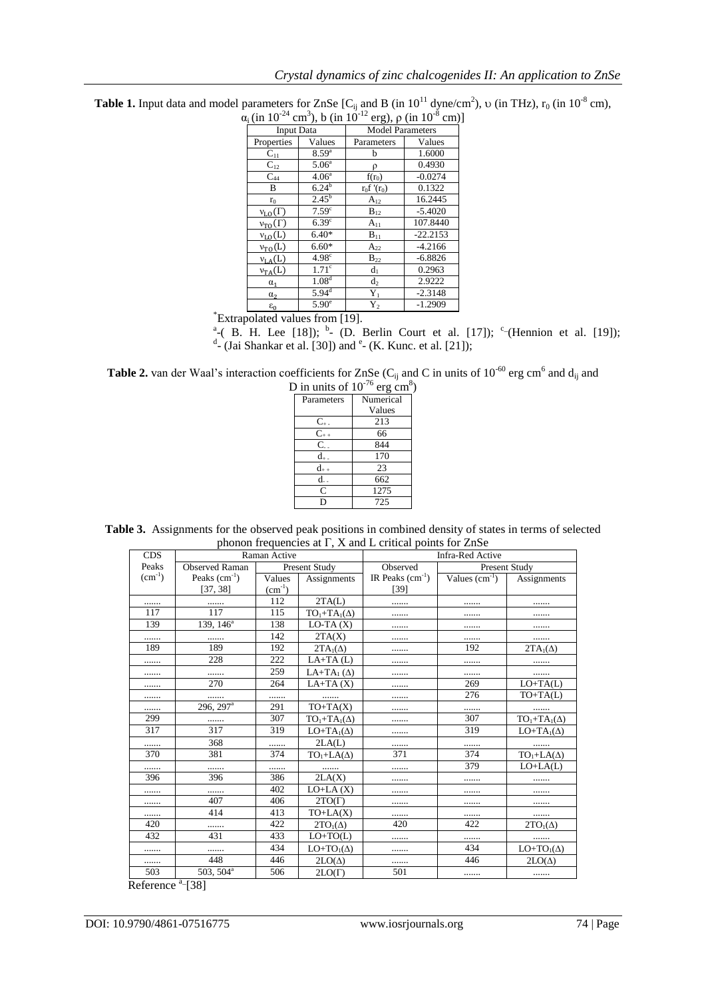| $\alpha_i$ (in 10 <sup>-24</sup> cm <sup>3</sup> ), b (in 10 <sup>-12</sup> erg), $\rho$ (in 10 <sup>-8</sup> cm) |                                                                                      |                                                                                                                                         |            |  |  |  |  |
|-------------------------------------------------------------------------------------------------------------------|--------------------------------------------------------------------------------------|-----------------------------------------------------------------------------------------------------------------------------------------|------------|--|--|--|--|
|                                                                                                                   |                                                                                      | <b>Model Parameters</b>                                                                                                                 |            |  |  |  |  |
| Properties                                                                                                        | Values                                                                               | Parameters                                                                                                                              | Values     |  |  |  |  |
| $C_{11}$                                                                                                          | $8.59^{a}$                                                                           | b                                                                                                                                       | 1.6000     |  |  |  |  |
|                                                                                                                   |                                                                                      | ρ                                                                                                                                       | 0.4930     |  |  |  |  |
| $C_{44}$                                                                                                          | 4.06 <sup>a</sup>                                                                    | $f(r_0)$                                                                                                                                | $-0.0274$  |  |  |  |  |
| B                                                                                                                 |                                                                                      | $r_0f'(r_0)$                                                                                                                            | 0.1322     |  |  |  |  |
| $r_0$                                                                                                             |                                                                                      | $A_{12}$                                                                                                                                | 16.2445    |  |  |  |  |
|                                                                                                                   |                                                                                      | $B_{12}$                                                                                                                                | $-5.4020$  |  |  |  |  |
| $v_{TO}(\Gamma)$                                                                                                  |                                                                                      | $A_{11}$                                                                                                                                | 107.8440   |  |  |  |  |
| $v_{L0}(L)$                                                                                                       | $6.40*$                                                                              | $\mathbf{B}_{11}$                                                                                                                       | $-22.2153$ |  |  |  |  |
|                                                                                                                   | $6.60*$                                                                              | $A_{22}$                                                                                                                                | $-4.2166$  |  |  |  |  |
|                                                                                                                   | 4.98 <sup>c</sup>                                                                    | $B_{22}$                                                                                                                                | $-6.8826$  |  |  |  |  |
|                                                                                                                   | 1.71 <sup>c</sup>                                                                    | d <sub>1</sub>                                                                                                                          | 0.2963     |  |  |  |  |
| $\alpha_1$                                                                                                        | 1.08 <sup>d</sup>                                                                    | $d_2$                                                                                                                                   | 2.9222     |  |  |  |  |
| $\alpha_2$                                                                                                        |                                                                                      | $Y_1$                                                                                                                                   | $-2.3148$  |  |  |  |  |
| $\varepsilon_0$                                                                                                   | $5.90^\circ$                                                                         | $Y_2$                                                                                                                                   | $-1.2909$  |  |  |  |  |
|                                                                                                                   | $C_{12}$<br>$v_{\rm LO}(\Gamma)$<br>$v_{\text{TO}}(L)$<br>$v_{LA}(L)$<br>$v_{TA}(L)$ | <b>Input Data</b><br>5.06 <sup>a</sup><br>$6.24^{b}$<br>$2.45^{\rm b}$<br>7.59 <sup>c</sup><br>6.39 <sup>c</sup><br>$5.94$ <sup>d</sup> |            |  |  |  |  |

**Table 1.** Input data and model parameters for ZnSe  $[C_{ij}$  and B (in  $10^{11}$  dyne/cm<sup>2</sup>), v (in THz), r<sub>0</sub> (in  $10^{-8}$  cm),  $)]$ 

<sup>a</sup>-( B. H. Lee [18]); <sup>b</sup>- (D. Berlin Court et al. [17]); <sup>c</sup>-(Hennion et al. [19]); <sup>a</sup>-(Jai Shankar et al. [30]) and <sup>e</sup>- (K. Kunc. et al. [21]);

**Table 2.** van der Waal's interaction coefficients for ZnSe ( $C_{ij}$  and C in units of 10<sup>-60</sup> erg cm<sup>6</sup> and  $d_{ij}$  and

| D in units of $10^{-76}$ erg cm <sup>8</sup> ) |           |  |  |  |  |
|------------------------------------------------|-----------|--|--|--|--|
| Parameters                                     | Numerical |  |  |  |  |
|                                                | Values    |  |  |  |  |
| $C_{+}$ .                                      | 213       |  |  |  |  |
| $C_{++}$                                       | 66        |  |  |  |  |
| $\overline{C}$                                 | 844       |  |  |  |  |
| d                                              | 170       |  |  |  |  |
|                                                | 23        |  |  |  |  |
| d.                                             | 662       |  |  |  |  |
| $\overline{C}$                                 | 1275      |  |  |  |  |
|                                                | 725       |  |  |  |  |

| <b>Table 3.</b> Assignments for the observed peak positions in combined density of states in terms of selected |                                                                   |  |  |
|----------------------------------------------------------------------------------------------------------------|-------------------------------------------------------------------|--|--|
|                                                                                                                | phonon frequencies at $\Gamma$ , X and L critical points for ZnSe |  |  |

| <b>CDS</b>  |                           | Raman Active |                               | <b>Infra-Red Active</b> |                 |                     |  |
|-------------|---------------------------|--------------|-------------------------------|-------------------------|-----------------|---------------------|--|
| Peaks       | <b>Observed Raman</b>     |              | Present Study                 | Observed                | Present Study   |                     |  |
| $(cm^{-1})$ | Peaks $(cm-1)$            | Values       | Assignments                   | IR Peaks $(cm-1)$       | Values $(cm-1)$ | Assignments         |  |
|             | [37, 38]                  | $(cm^{-1})$  |                               | $[39]$                  |                 |                     |  |
|             |                           | 112          | 2TA(L)                        |                         |                 |                     |  |
| 117         | 117                       | 115          | $TO_1+TA_1(\Delta)$           |                         |                 | .                   |  |
| 139         | 139, $146^{\overline{a}}$ | 138          | $LO-TA(X)$                    |                         |                 | .                   |  |
| .           |                           | 142          | 2TA(X)                        |                         |                 | .                   |  |
| 189         | 189                       | 192          | $2TA_1(\Delta)$               |                         | 192             | $2TA_1(\Delta)$     |  |
| .           | 228                       | 222          | $LA+TA(L)$                    |                         |                 | .                   |  |
|             |                           | 259          | LA+TA <sub>1</sub> $(\Delta)$ |                         |                 |                     |  |
|             | 270                       | 264          | $LA+TA(X)$                    |                         | 269             | $LO+TA(L)$          |  |
| .           |                           |              |                               |                         | 276             | $TO+TA(L)$          |  |
| .           | 296, 297 <sup>a</sup>     | 291          | $TO+TA(X)$                    |                         |                 |                     |  |
| 299         |                           | 307          | $TO1+TA1(\Delta)$             |                         | 307             | $TO_1+TA_1(\Delta)$ |  |
| 317         | 317                       | 319          | $LO+TA_1(\Delta)$             |                         | 319             | $LO+TA_1(\Delta)$   |  |
| .           | 368                       | .            | 2LA(L)                        |                         |                 |                     |  |
| 370         | 381                       | 374          | $TO_1+LA(\Delta)$             | 371                     | 374             | $TO_1+LA(\Delta)$   |  |
|             |                           |              |                               |                         | 379             | $LO+LA(L)$          |  |
| 396         | 396                       | 386          | 2LA(X)                        |                         |                 | .                   |  |
|             |                           | 402          | $LO+LA(X)$                    |                         |                 |                     |  |
| .           | 407                       | 406          | $2TO(\Gamma)$                 |                         |                 | .                   |  |
|             | 414                       | 413          | $TO+LA(X)$                    |                         |                 |                     |  |
| 420         |                           | 422          | $2TO_1(\Delta)$               | 420                     | 422             | $2TO_1(\Delta)$     |  |
| 432         | 431                       | 433          | $LO+TO(L)$                    |                         |                 |                     |  |
| .           |                           | 434          | $LO+TO_1(\Delta)$             |                         | 434             | $LO+TO1(\Delta)$    |  |
|             | 448                       | 446          | $2LO(\Delta)$                 |                         | 446             | $2LO(\Delta)$       |  |
| 503         | 503, 504 <sup>a</sup>     | 506          | $2LO(\Gamma)$                 | 501                     |                 | .                   |  |

Reference <sup>a</sup><sup>[38]</sup>